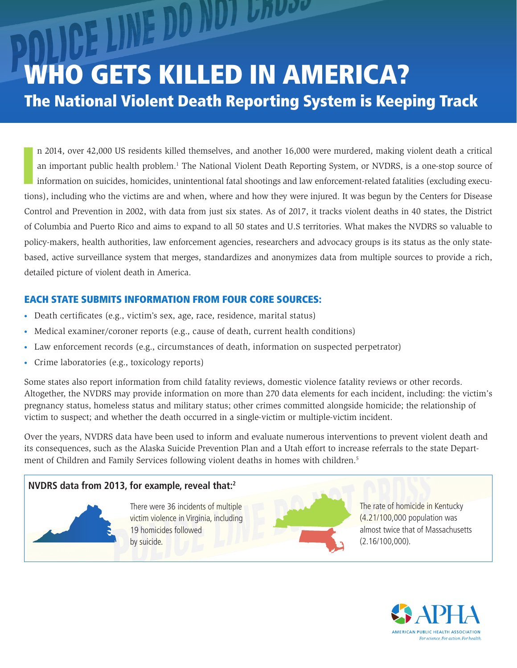CE LINE DO NOT LADOC WHO GETS KILLED IN AMERICA? The National Violent Death Reporting System is Keeping Track

I n 2014, over 42,000 US residents killed themselves, and another 16,000 were murdered, making violent death a critical an important public health problem.<sup>1</sup> The National Violent Death Reporting System, or NVDRS, is a one-stop source of information on suicides, homicides, unintentional fatal shootings and law enforcement-related fatalities (excluding executions), including who the victims are and when, where and how they were injured. It was begun by the Centers for Disease Control and Prevention in 2002, with data from just six states. As of 2017, it tracks violent deaths in 40 states, the District of Columbia and Puerto Rico and aims to expand to all 50 states and U.S territories. What makes the NVDRS so valuable to policy-makers, health authorities, law enforcement agencies, researchers and advocacy groups is its status as the only statebased, active surveillance system that merges, standardizes and anonymizes data from multiple sources to provide a rich, detailed picture of violent death in America.

# EACH STATE SUBMITS INFORMATION FROM FOUR CORE SOURCES:

- **•** Death certificates (e.g., victim's sex, age, race, residence, marital status)
- **•** Medical examiner/coroner reports (e.g., cause of death, current health conditions)
- **•** Law enforcement records (e.g., circumstances of death, information on suspected perpetrator)
- **•** Crime laboratories (e.g., toxicology reports)

Some states also report information from child fatality reviews, domestic violence fatality reviews or other records. Altogether, the NVDRS may provide information on more than 270 data elements for each incident, including: the victim's pregnancy status, homeless status and military status; other crimes committed alongside homicide; the relationship of victim to suspect; and whether the death occurred in a single-victim or multiple-victim incident.

Over the years, NVDRS data have been used to inform and evaluate numerous interventions to prevent violent death and its consequences, such as the Alaska Suicide Prevention Plan and a Utah effort to increase referrals to the state Department of Children and Family Services following violent deaths in homes with children.<sup>5</sup>

# **NVDRS data from 2013, for example, reveal that:2**

There were 36 incidents of multiple victim violence in Virginia, including 19 homicides followed by suicide.



The rate of homicide in Kentucky (4.21/100,000 population was almost twice that of Massachusetts (2.16/100,000).

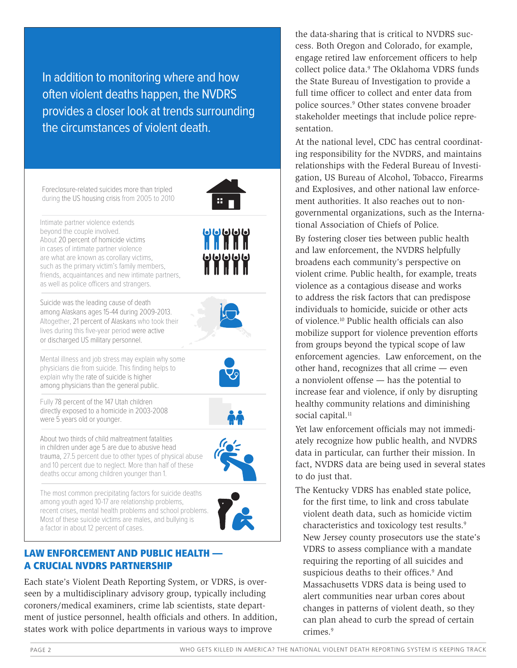In addition to monitoring where and how often violent deaths happen, the NVDRS provides a closer look at trends surrounding the circumstances of violent death.

Foreclosure-related suicides more than tripled during the US housing crisis from 2005 to 2010



Suicide was the leading cause of death among Alaskans ages 15-44 during 2009-2013. Altogether, 21 percent of Alaskans who took their lives during this five-year period were active or discharged US military personnel.

Mental illness and job stress may explain why some physicians die from suicide. This finding helps to explain why the rate of suicide is higher among physicians than the general public.

Fully 78 percent of the 147 Utah children directly exposed to a homicide in 2003-2008 were 5 years old or younger.



⊌⊌⊌⊌⊌⊌<br>∐∐∐

About two thirds of child maltreatment fatalities in children under age 5 are due to abusive head trauma, 27.5 percent due to other types of physical abuse and 10 percent due to neglect. More than half of these deaths occur among children younger than 1.

The most common precipitating factors for suicide deaths among youth aged 10-17 are relationship problems, recent crises, mental health problems and school problems. Most of these suicide victims are males, and bullying is a factor in about 12 percent of cases.



### LAW ENFORCEMENT AND PUBLIC HEALTH — A CRUCIAL NVDRS PARTNERSHIP

Each state's Violent Death Reporting System, or VDRS, is overseen by a multidisciplinary advisory group, typically including coroners/medical examiners, crime lab scientists, state department of justice personnel, health officials and others. In addition, states work with police departments in various ways to improve

the data-sharing that is critical to NVDRS success. Both Oregon and Colorado, for example, engage retired law enforcement officers to help collect police data.<sup>9</sup> The Oklahoma VDRS funds the State Bureau of Investigation to provide a full time officer to collect and enter data from police sources.9 Other states convene broader stakeholder meetings that include police representation.

At the national level, CDC has central coordinating responsibility for the NVDRS, and maintains relationships with the Federal Bureau of Investigation, US Bureau of Alcohol, Tobacco, Firearms and Explosives, and other national law enforcement authorities. It also reaches out to nongovernmental organizations, such as the International Association of Chiefs of Police.

By fostering closer ties between public health and law enforcement, the NVDRS helpfully broadens each community's perspective on violent crime. Public health, for example, treats violence as a contagious disease and works to address the risk factors that can predispose individuals to homicide, suicide or other acts of violence.10 Public health officials can also mobilize support for violence prevention efforts from groups beyond the typical scope of law enforcement agencies. Law enforcement, on the other hand, recognizes that all crime — even a nonviolent offense — has the potential to increase fear and violence, if only by disrupting healthy community relations and diminishing social capital.<sup>11</sup>

Yet law enforcement officials may not immediately recognize how public health, and NVDRS data in particular, can further their mission. In fact, NVDRS data are being used in several states to do just that.

The Kentucky VDRS has enabled state police, for the first time, to link and cross tabulate violent death data, such as homicide victim characteristics and toxicology test results.<sup>9</sup> New Jersey county prosecutors use the state's VDRS to assess compliance with a mandate requiring the reporting of all suicides and suspicious deaths to their offices.<sup>9</sup> And Massachusetts VDRS data is being used to alert communities near urban cores about changes in patterns of violent death, so they can plan ahead to curb the spread of certain crimes.<sup>9</sup>